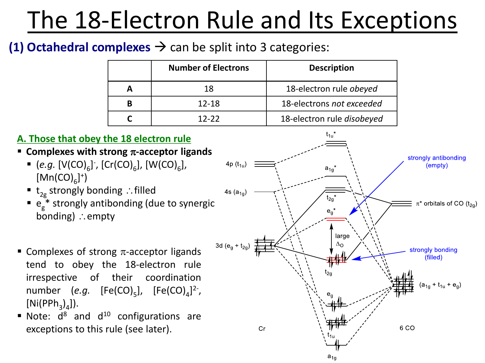### **(1) Octahedral complexes**  $\rightarrow$  can be split into 3 categories:

| <b>Number of Electrons</b> | <b>Description</b>         |
|----------------------------|----------------------------|
| 18                         | 18-electron rule obeyed    |
| $12 - 18$                  | 18-electrons not exceeded  |
| $12 - 22$                  | 18-electron rule disobeyed |

#### **A. Those that obey the 18 electron rule**

- **Examplexes with strong**  $\pi$ **-acceptor ligands** 
	- $\bullet$  (*e.g.* [V(CO)<sub>6</sub>], [Cr(CO)<sub>6</sub>], [W(CO)<sub>6</sub>],  $[Mn(CO)_{6}]^{+}$
	- $t_{2g}$  strongly bonding ∴filled
	- $\bullet$  e<sub>g</sub><sup>\*</sup> strongly antibonding (due to synergic bonding)  $\therefore$  empty
- **EXECUTE:** Complexes of strong  $\pi$ -acceptor ligands tend to obey the 18-electron rule irrespective of their coordination number (*e.g.* [Fe(CO)<sub>5</sub>], [Fe(CO)<sub>4</sub>]<sup>2-</sup>,  $[Ni(PPh<sub>3</sub>)<sub>4</sub>]$ ).
- $\blacksquare$  Note:  $d^8$  and  $d^{10}$  configurations are exceptions to this rule (see later).

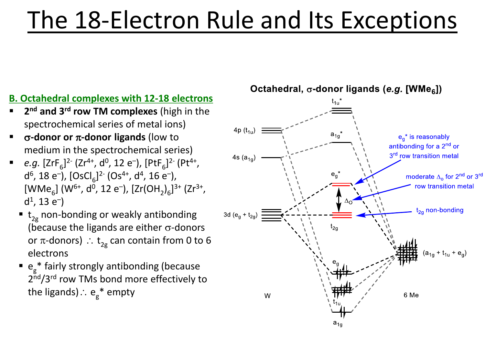#### **B. Octahedral complexes with 12-18 electrons**

- **2 nd and 3rd row TM complexes** (high in the spectrochemical series of metal ions)
- s**-donor or** p**-donor ligands** (low to medium in the spectrochemical series)
- **•** *e.g.*  $[ZrF_6]^{2}$ <sup>-</sup> ( $Zr^{4+}$ ,  $d^0$ , 12 e<sup>-</sup>),  $[PtF_6]^{2}$ <sup>-</sup> ( $Pt^{4+}$ , d<sup>6</sup>, 18 e<sup>-</sup>), [OsCl<sub>6</sub>]<sup>2-</sup> (Os<sup>4+</sup>, d<sup>4</sup>, 16 e<sup>-</sup>),  $[WMe_{6}]$  (W<sup>6+</sup>, d<sup>0</sup>, 12 e<sup>-</sup>),  $[Zr(OH_{2})_{6}]^{3+}$  (Zr<sup>3+</sup>,  $d^1$ , 13  $e^-$ )
	- $\bullet$  t<sub>2g</sub> non-bonding or weakly antibonding (because the ligands are either  $\sigma$ -donors or  $\pi$ -donors)  $\therefore$   $\mathsf{t}_{\mathsf{2g}}$  can contain from 0 to 6 electrons
	- $\bullet$  e<sub>g</sub>\* fairly strongly antibonding (because 2<sup>nd</sup>/3<sup>rd</sup> row TMs bond more effectively to the ligands) $\therefore$   $\mathsf{e_g}^*$  empty



Octahedral,  $\sigma$ -donor ligands (e.g. [WMe<sub>6</sub>])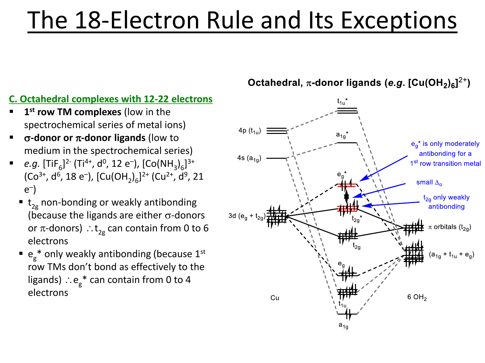#### **C. Octahedral complexes with 12-22 electrons**

- **1 1**<sup>st</sup> **row TM complexes** (low in the spectrochemical series of metal ions)
- **σ-donor or π-donor ligands** (low to medium in the spectrochemical series)
- **•** *e.g.*  $[\text{TiF}_6]^2$ <sup>-</sup>  $(\text{Ti}^{4+}, \text{d}^0, 12 \text{ e}^-)$ ,  $[\text{Co(NH}_3)_6]^{3+}$ (Co<sup>3+</sup>, d<sup>6</sup>, 18 e<sup>-</sup>), [Cu(OH<sub>2</sub>)<sub>6</sub>]<sup>2+</sup> (Cu<sup>2+</sup>, d<sup>9</sup>, 21 e – )
	- $\bullet$  t<sub>2g</sub> non-bonding or weakly antibonding (because the ligands are either  $\sigma$ -donors or  $\pi$ -donors)  $\mathrel{\mathop:}$   $\mathsf{t}_{\mathsf{2g}}$  can contain from 0 to 6 electrons
	- $\bullet$  e<sub>g</sub>\* only weakly antibonding (because 1<sup>st</sup> row TMs don't bond as effectively to the ligands)  $\therefore$ e $_{\mathrm{g}}$ \* can contain from 0 to 4 electrons

Octahedral,  $\pi$ -donor ligands (e.g. [Cu(OH<sub>2</sub>)<sub>6</sub>]<sup>2+</sup>)

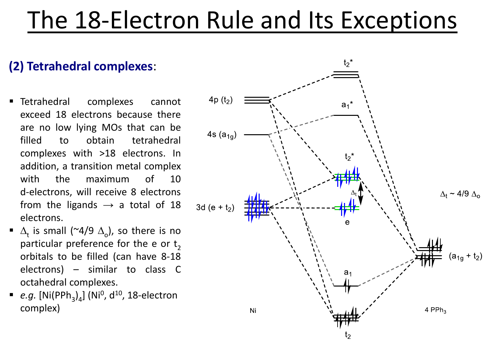### **(2) Tetrahedral complexes**:

- Tetrahedral complexes cannot exceed 18 electrons because there are no low lying MOs that can be filled to obtain tetrahedral complexes with >18 electrons. In addition, a transition metal complex with the maximum of 10 d-electrons, will receive 8 electrons from the ligands  $\rightarrow$  a total of 18 electrons.
- $\blacksquare$   $\Delta_{\text{t}}$  is small (~4/9  $\Delta_{\text{o}}$ ), so there is no particular preference for the e or  $\bm{{\mathsf{t}}}_2$ orbitals to be filled (can have 8-18 electrons) – similar to class C octahedral complexes.
- *e.g.*  $[Ni(PPh_3)_4]$  (Ni<sup>0</sup>, d<sup>10</sup>, 18-electron complex)

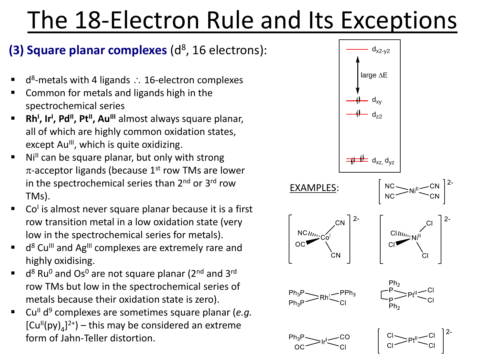### (3) Square planar complexes (d<sup>8</sup>, 16 electrons):

- $\blacksquare$  d<sup>8</sup>-metals with 4 ligands : 16-electron complexes
- Common for metals and ligands high in the spectrochemical series
- **Rh<sup>I</sup> , Ir<sup>I</sup> , PdII , PtII , AuIII** almost always square planar, all of which are highly common oxidation states, except  $Au^{\parallel\parallel}$ , which is quite oxidizing.
- $Ni<sup>II</sup>$  can be square planar, but only with strong  $\pi$ -acceptor ligands (because 1<sup>st</sup> row TMs are lower in the spectrochemical series than  $2^{nd}$  or  $3^{rd}$  row TMs).
- Co<sup>l</sup> is almost never square planar because it is a first row transition metal in a low oxidation state (very low in the spectrochemical series for metals).
- d<sup>8</sup> Cu<sup>III</sup> and Ag<sup>III</sup> complexes are extremely rare and highly oxidising.
- $\blacksquare$  d<sup>8</sup> Ru<sup>0</sup> and Os<sup>0</sup> are not square planar (2<sup>nd</sup> and 3<sup>rd</sup> row TMs but low in the spectrochemical series of metals because their oxidation state is zero).
- Cu<sup>II</sup> d<sup>9</sup> complexes are sometimes square planar (e.g.  $[Cu<sup>II</sup>(py)<sub>4</sub>]<sup>2+</sup>$  – this may be considered an extreme form of Jahn-Teller distortion.

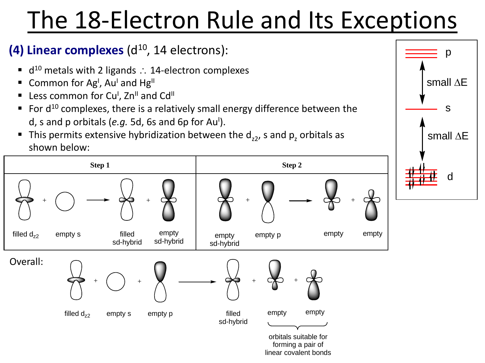linear covalent bonds

### **(4) Linear complexes** (d<sup>10</sup>, 14 electrons):

- $\blacksquare$  d<sup>10</sup> metals with 2 ligands : 14-electron complexes
- Common for Ag<sup>1</sup>, Au<sup>1</sup> and Hg<sup>II</sup>
- Less common for Cu<sup>I</sup>, Zn<sup>II</sup> and Cd<sup>II</sup>
- $\blacksquare$  For d<sup>10</sup> complexes, there is a relatively small energy difference between the d, s and p orbitals (e.g. 5d, 6s and 6p for Au<sup>I</sup>).
- **This permits extensive hybridization between the**  $d_{z2}$ **, s and**  $p_z$  **orbitals as** shown below:



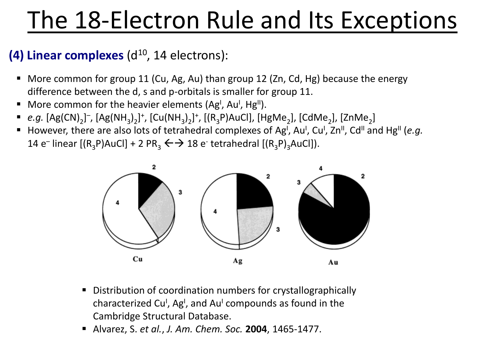### **(4) Linear complexes** (d<sup>10</sup>, 14 electrons):

- More common for group 11 (Cu, Ag, Au) than group 12 (Zn, Cd, Hg) because the energy difference between the d, s and p-orbitals is smaller for group 11.
- More common for the heavier elements (Ag<sup>I</sup>, Au<sup>I</sup>, Hg<sup>II</sup>).
- *e.g.* [Ag(CN)<sub>2</sub>]<sup>−</sup>, [Ag(NH<sub>3</sub>)<sub>2</sub>]<sup>+</sup>, [Cu(NH<sub>3</sub>)<sub>2</sub>]<sup>+</sup>, [(R<sub>3</sub>P)AuCl], [HgMe<sub>2</sub>], [CdMe<sub>2</sub>], [ZnMe<sub>2</sub>]
- However, there are also lots of tetrahedral complexes of Ag<sup>I</sup>, Au<sup>I</sup>, Cu<sup>I</sup>, Zn<sup>II</sup>, Cd<sup>II</sup> and Hg<sup>II</sup> (e.g. 14 e<sup>-</sup> linear [(R<sub>3</sub>P)AuCl] + 2 PR<sub>3</sub>  $\leftrightarrow$  18 e<sup>-</sup> tetrahedral [(R<sub>3</sub>P)<sub>3</sub>AuCl]).



- Distribution of coordination numbers for crystallographically characterized Cu<sup>i</sup>, Ag<sup>i</sup>, and Au<sup>i</sup> compounds as found in the Cambridge Structural Database.
- Alvarez, S. *et al.*, *J. Am. Chem. Soc.* **2004**, 1465-1477.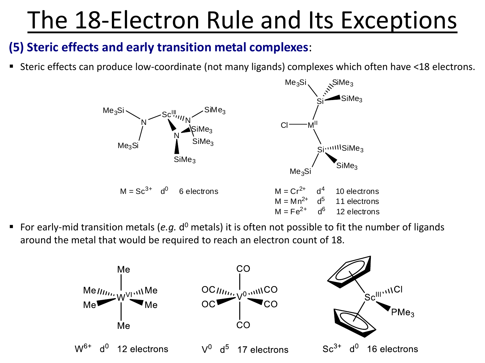### **(5) Steric effects and early transition metal complexes**:

■ Steric effects can produce low-coordinate (not many ligands) complexes which often have <18 electrons.



■ For early-mid transition metals (e.g. d<sup>o</sup> metals) it is often not possible to fit the number of ligands around the metal that would be required to reach an electron count of 18.